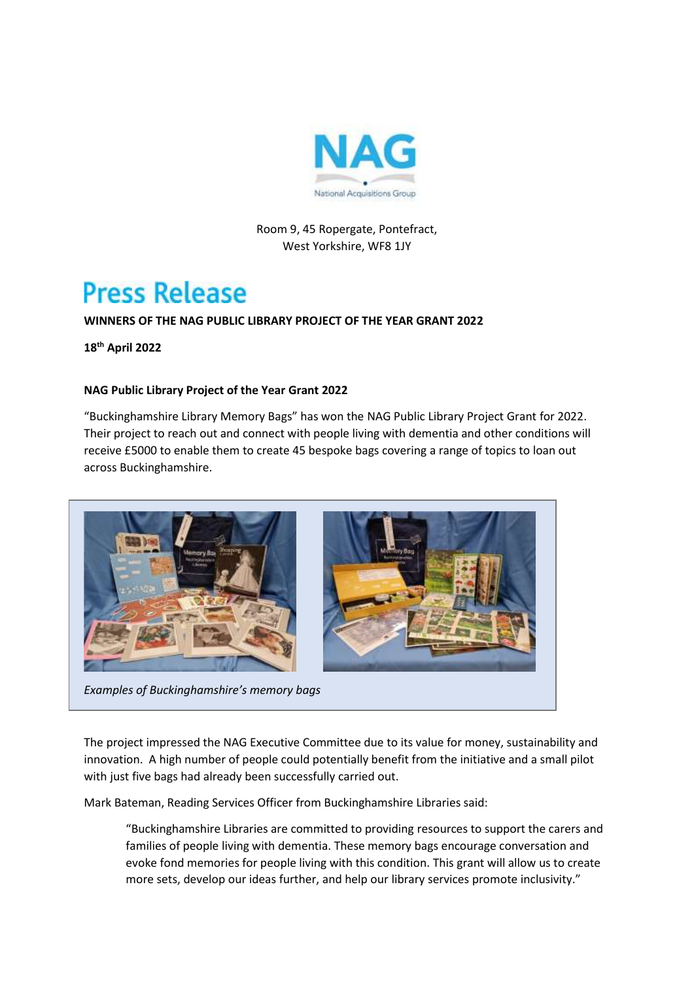

# Room 9, 45 Ropergate, Pontefract, West Yorkshire, WF8 1JY

# **Press Release**

# **WINNERS OF THE NAG PUBLIC LIBRARY PROJECT OF THE YEAR GRANT 2022**

**18th April 2022**

## **NAG Public Library Project of the Year Grant 2022**

"Buckinghamshire Library Memory Bags" has won the NAG Public Library Project Grant for 2022. Their project to reach out and connect with people living with dementia and other conditions will receive £5000 to enable them to create 45 bespoke bags covering a range of topics to loan out across Buckinghamshire.



The project impressed the NAG Executive Committee due to its value for money, sustainability and innovation. A high number of people could potentially benefit from the initiative and a small pilot

Mark Bateman, Reading Services Officer from Buckinghamshire Libraries said:

with just five bags had already been successfully carried out.

"Buckinghamshire Libraries are committed to providing resources to support the carers and families of people living with dementia. These memory bags encourage conversation and evoke fond memories for people living with this condition. This grant will allow us to create more sets, develop our ideas further, and help our library services promote inclusivity."